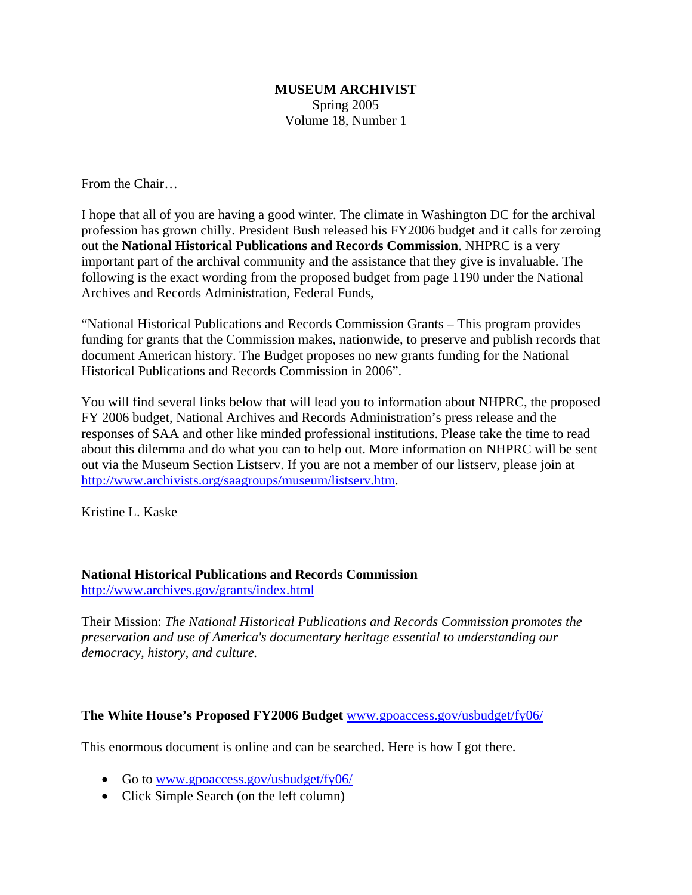## **MUSEUM ARCHIVIST** Spring 2005 Volume 18, Number 1

From the Chair…

I hope that all of you are having a good winter. The climate in Washington DC for the archival profession has grown chilly. President Bush released his FY2006 budget and it calls for zeroing out the **National Historical Publications and Records Commission**. NHPRC is a very important part of the archival community and the assistance that they give is invaluable. The following is the exact wording from the proposed budget from page 1190 under the National Archives and Records Administration, Federal Funds,

"National Historical Publications and Records Commission Grants – This program provides funding for grants that the Commission makes, nationwide, to preserve and publish records that document American history. The Budget proposes no new grants funding for the National Historical Publications and Records Commission in 2006".

You will find several links below that will lead you to information about NHPRC, the proposed FY 2006 budget, National Archives and Records Administration's press release and the responses of SAA and other like minded professional institutions. Please take the time to read about this dilemma and do what you can to help out. More information on NHPRC will be sent out via the Museum Section Listserv. If you are not a member of our listserv, please join at http://www.archivists.org/saagroups/museum/listserv.htm.

Kristine L. Kaske

## **National Historical Publications and Records Commission**

http://www.archives.gov/grants/index.html

Their Mission: *The National Historical Publications and Records Commission promotes the preservation and use of America's documentary heritage essential to understanding our democracy, history, and culture.* 

## **The White House's Proposed FY2006 Budget** www.gpoaccess.gov/usbudget/fy06/

This enormous document is online and can be searched. Here is how I got there.

- Go to www.gpoaccess.gov/usbudget/fy06/
- Click Simple Search (on the left column)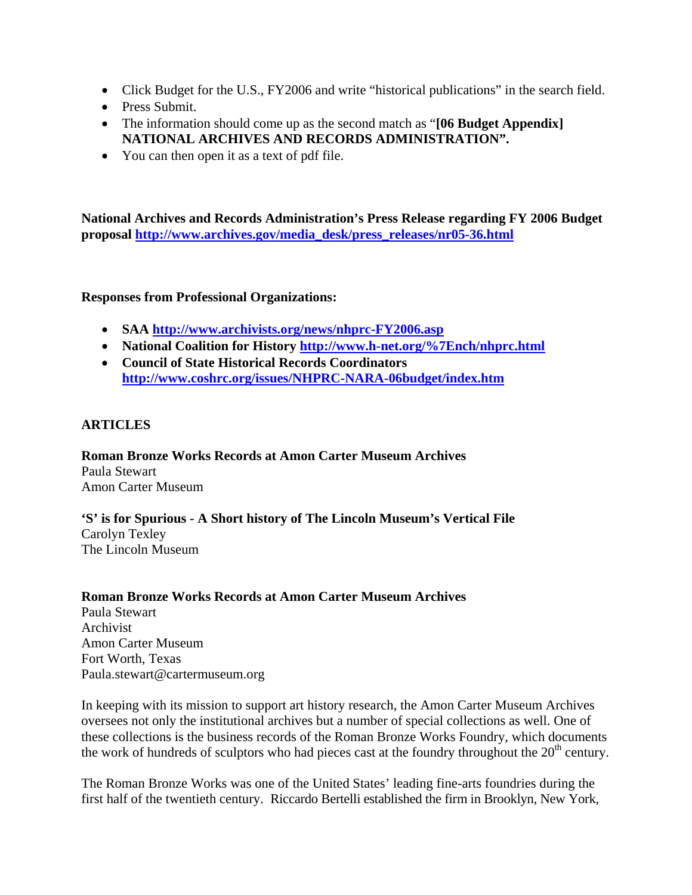- Click Budget for the U.S., FY2006 and write "historical publications" in the search field.
- Press Submit.
- The information should come up as the second match as "**[06 Budget Appendix] NATIONAL ARCHIVES AND RECORDS ADMINISTRATION".**
- You can then open it as a text of pdf file.

**National Archives and Records Administration's Press Release regarding FY 2006 Budget proposal http://www.archives.gov/media\_desk/press\_releases/nr05-36.html**

## **Responses from Professional Organizations:**

- **SAA http://www.archivists.org/news/nhprc-FY2006.asp**
- **National Coalition for History http://www.h-net.org/%7Ench/nhprc.html**
- **Council of State Historical Records Coordinators http://www.coshrc.org/issues/NHPRC-NARA-06budget/index.htm**

# **ARTICLES**

**Roman Bronze Works Records at Amon Carter Museum Archives**  Paula Stewart Amon Carter Museum

**'S' is for Spurious - A Short history of The Lincoln Museum's Vertical File**  Carolyn Texley The Lincoln Museum

## **Roman Bronze Works Records at Amon Carter Museum Archives**

Paula Stewart Archivist Amon Carter Museum Fort Worth, Texas Paula.stewart@cartermuseum.org

In keeping with its mission to support art history research, the Amon Carter Museum Archives oversees not only the institutional archives but a number of special collections as well. One of these collections is the business records of the Roman Bronze Works Foundry, which documents the work of hundreds of sculptors who had pieces cast at the foundry throughout the  $20<sup>th</sup>$  century.

The Roman Bronze Works was one of the United States' leading fine-arts foundries during the first half of the twentieth century. Riccardo Bertelli established the firm in Brooklyn, New York,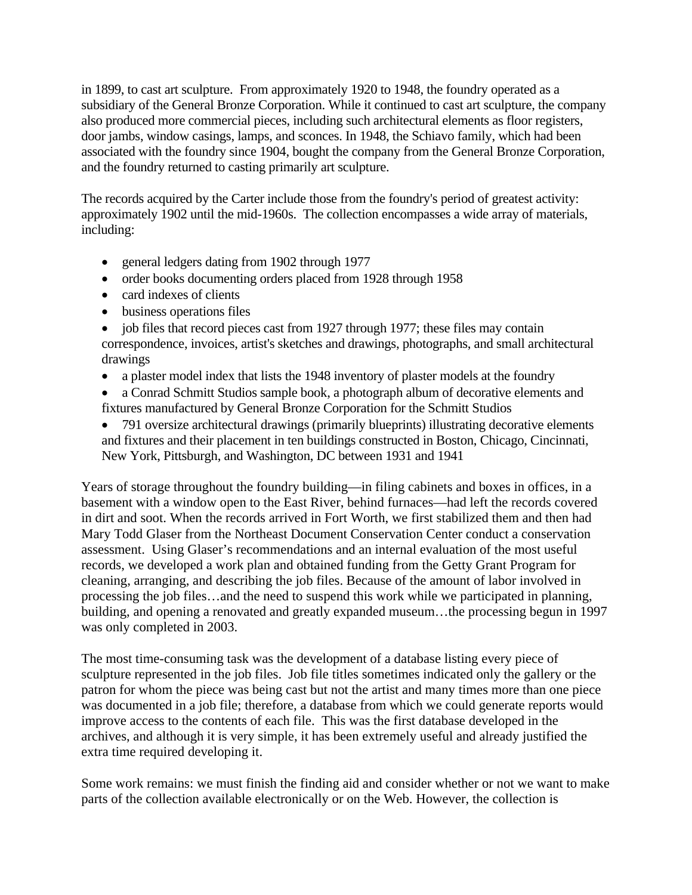in 1899, to cast art sculpture. From approximately 1920 to 1948, the foundry operated as a subsidiary of the General Bronze Corporation. While it continued to cast art sculpture, the company also produced more commercial pieces, including such architectural elements as floor registers, door jambs, window casings, lamps, and sconces. In 1948, the Schiavo family, which had been associated with the foundry since 1904, bought the company from the General Bronze Corporation, and the foundry returned to casting primarily art sculpture.

The records acquired by the Carter include those from the foundry's period of greatest activity: approximately 1902 until the mid-1960s. The collection encompasses a wide array of materials, including:

- general ledgers dating from 1902 through 1977
- order books documenting orders placed from 1928 through 1958
- card indexes of clients
- business operations files

• job files that record pieces cast from 1927 through 1977; these files may contain correspondence, invoices, artist's sketches and drawings, photographs, and small architectural drawings

- a plaster model index that lists the 1948 inventory of plaster models at the foundry
- a Conrad Schmitt Studios sample book, a photograph album of decorative elements and fixtures manufactured by General Bronze Corporation for the Schmitt Studios
- 791 oversize architectural drawings (primarily blueprints) illustrating decorative elements and fixtures and their placement in ten buildings constructed in Boston, Chicago, Cincinnati, New York, Pittsburgh, and Washington, DC between 1931 and 1941

Years of storage throughout the foundry building—in filing cabinets and boxes in offices, in a basement with a window open to the East River, behind furnaces—had left the records covered in dirt and soot. When the records arrived in Fort Worth, we first stabilized them and then had Mary Todd Glaser from the Northeast Document Conservation Center conduct a conservation assessment. Using Glaser's recommendations and an internal evaluation of the most useful records, we developed a work plan and obtained funding from the Getty Grant Program for cleaning, arranging, and describing the job files. Because of the amount of labor involved in processing the job files…and the need to suspend this work while we participated in planning, building, and opening a renovated and greatly expanded museum…the processing begun in 1997 was only completed in 2003.

The most time-consuming task was the development of a database listing every piece of sculpture represented in the job files. Job file titles sometimes indicated only the gallery or the patron for whom the piece was being cast but not the artist and many times more than one piece was documented in a job file; therefore, a database from which we could generate reports would improve access to the contents of each file. This was the first database developed in the archives, and although it is very simple, it has been extremely useful and already justified the extra time required developing it.

Some work remains: we must finish the finding aid and consider whether or not we want to make parts of the collection available electronically or on the Web. However, the collection is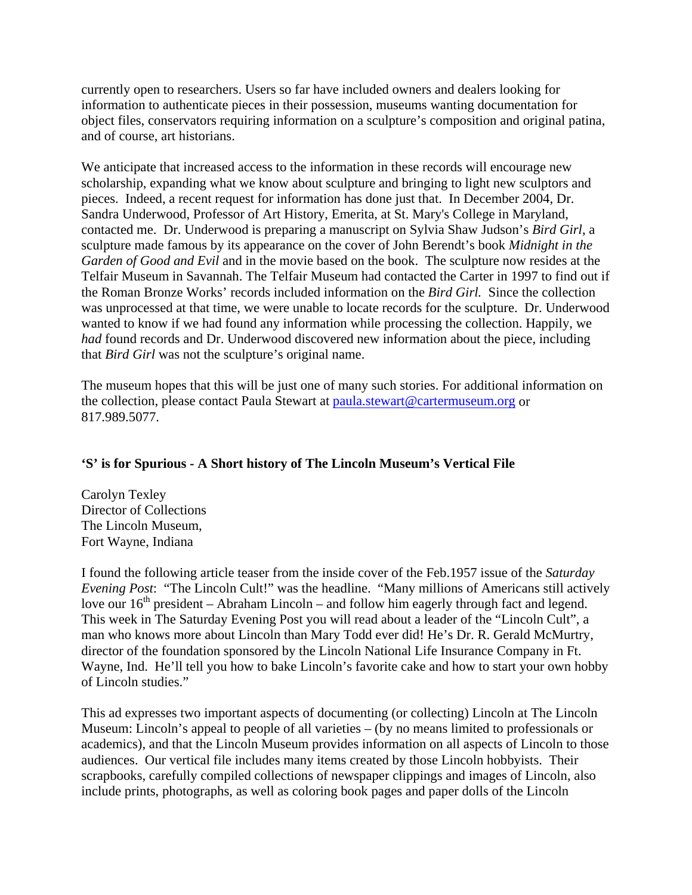currently open to researchers. Users so far have included owners and dealers looking for information to authenticate pieces in their possession, museums wanting documentation for object files, conservators requiring information on a sculpture's composition and original patina, and of course, art historians.

We anticipate that increased access to the information in these records will encourage new scholarship, expanding what we know about sculpture and bringing to light new sculptors and pieces. Indeed, a recent request for information has done just that. In December 2004, Dr. Sandra Underwood, Professor of Art History, Emerita, at St. Mary's College in Maryland, contacted me. Dr. Underwood is preparing a manuscript on Sylvia Shaw Judson's *Bird Girl*, a sculpture made famous by its appearance on the cover of John Berendt's book *Midnight in the Garden of Good and Evil* and in the movie based on the book. The sculpture now resides at the Telfair Museum in Savannah. The Telfair Museum had contacted the Carter in 1997 to find out if the Roman Bronze Works' records included information on the *Bird Girl.* Since the collection was unprocessed at that time, we were unable to locate records for the sculpture. Dr. Underwood wanted to know if we had found any information while processing the collection. Happily, we *had* found records and Dr. Underwood discovered new information about the piece, including that *Bird Girl* was not the sculpture's original name.

The museum hopes that this will be just one of many such stories. For additional information on the collection, please contact Paula Stewart at paula.stewart@cartermuseum.org or 817.989.5077.

# **'S' is for Spurious - A Short history of The Lincoln Museum's Vertical File**

Carolyn Texley Director of Collections The Lincoln Museum, Fort Wayne, Indiana

I found the following article teaser from the inside cover of the Feb.1957 issue of the *Saturday Evening Post*: "The Lincoln Cult!" was the headline. "Many millions of Americans still actively love our  $16<sup>th</sup>$  president – Abraham Lincoln – and follow him eagerly through fact and legend. This week in The Saturday Evening Post you will read about a leader of the "Lincoln Cult", a man who knows more about Lincoln than Mary Todd ever did! He's Dr. R. Gerald McMurtry, director of the foundation sponsored by the Lincoln National Life Insurance Company in Ft. Wayne, Ind. He'll tell you how to bake Lincoln's favorite cake and how to start your own hobby of Lincoln studies."

This ad expresses two important aspects of documenting (or collecting) Lincoln at The Lincoln Museum: Lincoln's appeal to people of all varieties – (by no means limited to professionals or academics), and that the Lincoln Museum provides information on all aspects of Lincoln to those audiences. Our vertical file includes many items created by those Lincoln hobbyists. Their scrapbooks, carefully compiled collections of newspaper clippings and images of Lincoln, also include prints, photographs, as well as coloring book pages and paper dolls of the Lincoln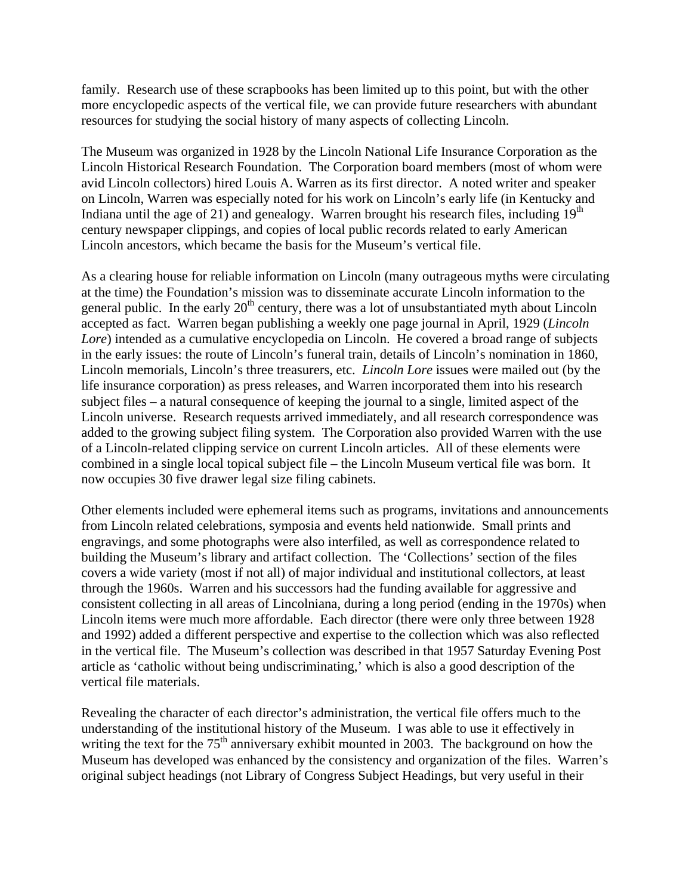family. Research use of these scrapbooks has been limited up to this point, but with the other more encyclopedic aspects of the vertical file, we can provide future researchers with abundant resources for studying the social history of many aspects of collecting Lincoln.

The Museum was organized in 1928 by the Lincoln National Life Insurance Corporation as the Lincoln Historical Research Foundation. The Corporation board members (most of whom were avid Lincoln collectors) hired Louis A. Warren as its first director. A noted writer and speaker on Lincoln, Warren was especially noted for his work on Lincoln's early life (in Kentucky and Indiana until the age of 21) and genealogy. Warren brought his research files, including  $19<sup>th</sup>$ century newspaper clippings, and copies of local public records related to early American Lincoln ancestors, which became the basis for the Museum's vertical file.

As a clearing house for reliable information on Lincoln (many outrageous myths were circulating at the time) the Foundation's mission was to disseminate accurate Lincoln information to the general public. In the early  $20<sup>th</sup>$  century, there was a lot of unsubstantiated myth about Lincoln accepted as fact. Warren began publishing a weekly one page journal in April, 1929 (*Lincoln Lore*) intended as a cumulative encyclopedia on Lincoln. He covered a broad range of subjects in the early issues: the route of Lincoln's funeral train, details of Lincoln's nomination in 1860, Lincoln memorials, Lincoln's three treasurers, etc. *Lincoln Lore* issues were mailed out (by the life insurance corporation) as press releases, and Warren incorporated them into his research subject files – a natural consequence of keeping the journal to a single, limited aspect of the Lincoln universe. Research requests arrived immediately, and all research correspondence was added to the growing subject filing system. The Corporation also provided Warren with the use of a Lincoln-related clipping service on current Lincoln articles. All of these elements were combined in a single local topical subject file – the Lincoln Museum vertical file was born. It now occupies 30 five drawer legal size filing cabinets.

Other elements included were ephemeral items such as programs, invitations and announcements from Lincoln related celebrations, symposia and events held nationwide. Small prints and engravings, and some photographs were also interfiled, as well as correspondence related to building the Museum's library and artifact collection. The 'Collections' section of the files covers a wide variety (most if not all) of major individual and institutional collectors, at least through the 1960s. Warren and his successors had the funding available for aggressive and consistent collecting in all areas of Lincolniana, during a long period (ending in the 1970s) when Lincoln items were much more affordable. Each director (there were only three between 1928 and 1992) added a different perspective and expertise to the collection which was also reflected in the vertical file. The Museum's collection was described in that 1957 Saturday Evening Post article as 'catholic without being undiscriminating,' which is also a good description of the vertical file materials.

Revealing the character of each director's administration, the vertical file offers much to the understanding of the institutional history of the Museum. I was able to use it effectively in writing the text for the  $75<sup>th</sup>$  anniversary exhibit mounted in 2003. The background on how the Museum has developed was enhanced by the consistency and organization of the files. Warren's original subject headings (not Library of Congress Subject Headings, but very useful in their